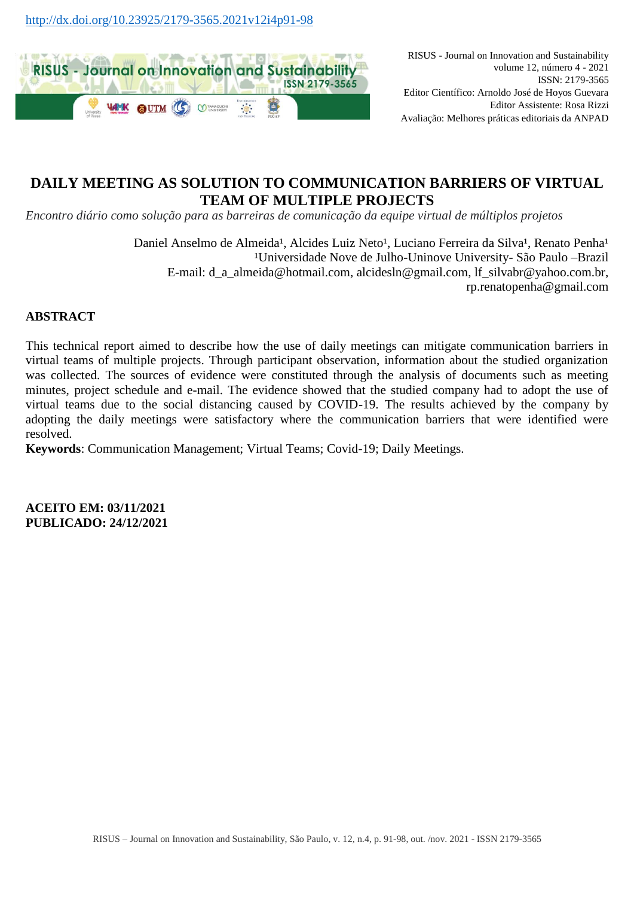

RISUS - Journal on Innovation and Sustainability volume 12, número 4 - 2021 ISSN: 2179-3565 Editor Científico: Arnoldo José de Hoyos Guevara Editor Assistente: Rosa Rizzi Avaliação: Melhores práticas editoriais da ANPAD

## **DAILY MEETING AS SOLUTION TO COMMUNICATION BARRIERS OF VIRTUAL TEAM OF MULTIPLE PROJECTS**

*Encontro diário como solução para as barreiras de comunicação da equipe virtual de múltiplos projetos*

Daniel Anselmo de Almeida<sup>1</sup>, Alcides Luiz Neto<sup>1</sup>, Luciano Ferreira da Silva<sup>1</sup>, Renato Penha<sup>1</sup> <sup>1</sup>Universidade Nove de Julho-Uninove University- São Paulo –Brazil E-mail: [d\\_a\\_almeida@hotmail.com,](mailto:d_a_almeida@hotmail.com) [alcidesln@gmail.com,](mailto:alcidesln@gmail.com) [lf\\_silvabr@yahoo.com.br,](mailto:lf_silvabr@yahoo.com.br) [rp.renatopenha@gmail.com](mailto:rp.renatopenha@gmail.com)

### **ABSTRACT**

This technical report aimed to describe how the use of daily meetings can mitigate communication barriers in virtual teams of multiple projects. Through participant observation, information about the studied organization was collected. The sources of evidence were constituted through the analysis of documents such as meeting minutes, project schedule and e-mail. The evidence showed that the studied company had to adopt the use of virtual teams due to the social distancing caused by COVID-19. The results achieved by the company by adopting the daily meetings were satisfactory where the communication barriers that were identified were resolved.

**Keywords**: Communication Management; Virtual Teams; Covid-19; Daily Meetings.

**ACEITO EM: 03/11/2021 PUBLICADO: 24/12/2021**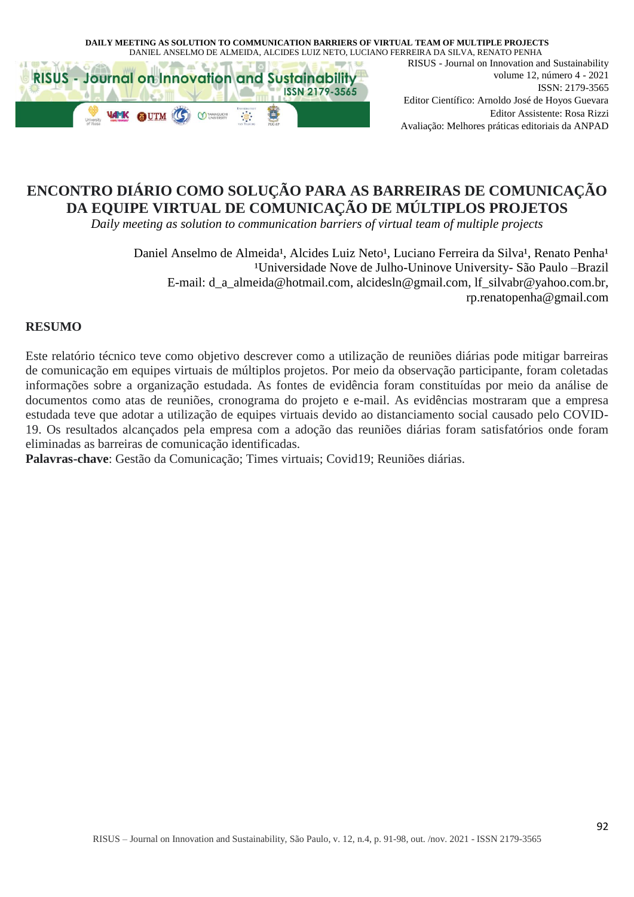



RISUS - Journal on Innovation and Sustainability volume 12, número 4 - 2021 ISSN: 2179-3565 Editor Científico: Arnoldo José de Hoyos Guevara Editor Assistente: Rosa Rizzi Avaliação: Melhores práticas editoriais da ANPAD

# **ENCONTRO DIÁRIO COMO SOLUÇÃO PARA AS BARREIRAS DE COMUNICAÇÃO DA EQUIPE VIRTUAL DE COMUNICAÇÃO DE MÚLTIPLOS PROJETOS**

*Daily meeting as solution to communication barriers of virtual team of multiple projects*

Daniel Anselmo de Almeida<sup>1</sup>, Alcides Luiz Neto<sup>1</sup>, Luciano Ferreira da Silva<sup>1</sup>, Renato Penha<sup>1</sup> <sup>1</sup>Universidade Nove de Julho-Uninove University- São Paulo –Brazil E-mail: [d\\_a\\_almeida@hotmail.com,](mailto:d_a_almeida@hotmail.com) [alcidesln@gmail.com,](mailto:alcidesln@gmail.com) [lf\\_silvabr@yahoo.com.br,](mailto:lf_silvabr@yahoo.com.br) [rp.renatopenha@gmail.com](mailto:rp.renatopenha@gmail.com)

#### **RESUMO**

Este relatório técnico teve como objetivo descrever como a utilização de reuniões diárias pode mitigar barreiras de comunicação em equipes virtuais de múltiplos projetos. Por meio da observação participante, foram coletadas informações sobre a organização estudada. As fontes de evidência foram constituídas por meio da análise de documentos como atas de reuniões, cronograma do projeto e e-mail. As evidências mostraram que a empresa estudada teve que adotar a utilização de equipes virtuais devido ao distanciamento social causado pelo COVID-19. Os resultados alcançados pela empresa com a adoção das reuniões diárias foram satisfatórios onde foram eliminadas as barreiras de comunicação identificadas.

**Palavras-chave**: Gestão da Comunicação; Times virtuais; Covid19; Reuniões diárias.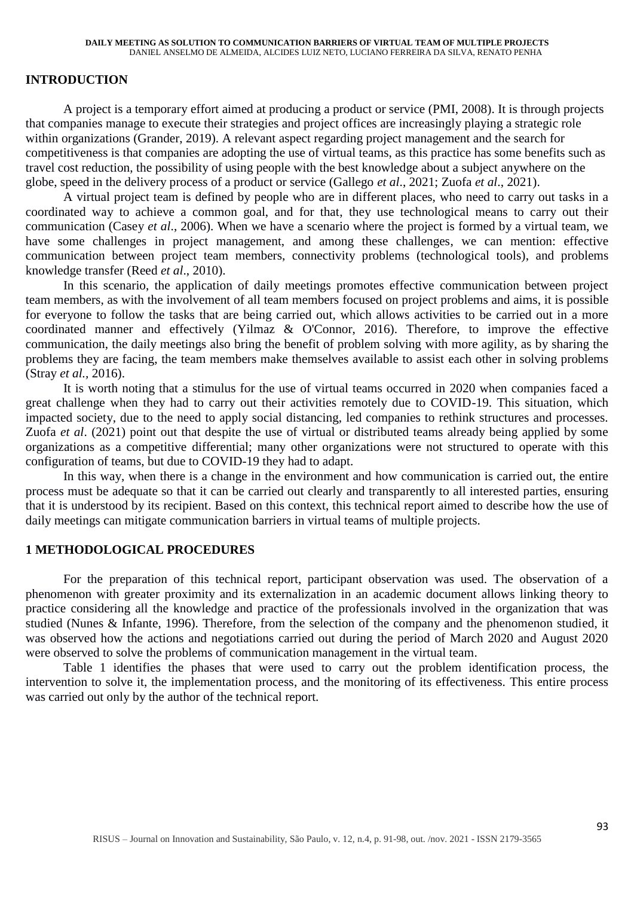## **INTRODUCTION**

A project is a temporary effort aimed at producing a product or service (PMI, 2008). It is through projects that companies manage to execute their strategies and project offices are increasingly playing a strategic role within organizations (Grander, 2019). A relevant aspect regarding project management and the search for competitiveness is that companies are adopting the use of virtual teams, as this practice has some benefits such as travel cost reduction, the possibility of using people with the best knowledge about a subject anywhere on the globe, speed in the delivery process of a product or service (Gallego *et al*., 2021; Zuofa *et al*., 2021).

A virtual project team is defined by people who are in different places, who need to carry out tasks in a coordinated way to achieve a common goal, and for that, they use technological means to carry out their communication (Casey *et al*., 2006). When we have a scenario where the project is formed by a virtual team, we have some challenges in project management, and among these challenges, we can mention: effective communication between project team members, connectivity problems (technological tools), and problems knowledge transfer (Reed *et al*., 2010).

In this scenario, the application of daily meetings promotes effective communication between project team members, as with the involvement of all team members focused on project problems and aims, it is possible for everyone to follow the tasks that are being carried out, which allows activities to be carried out in a more coordinated manner and effectively (Yilmaz & O'Connor, 2016). Therefore, to improve the effective communication, the daily meetings also bring the benefit of problem solving with more agility, as by sharing the problems they are facing, the team members make themselves available to assist each other in solving problems (Stray *et al.,* 2016).

It is worth noting that a stimulus for the use of virtual teams occurred in 2020 when companies faced a great challenge when they had to carry out their activities remotely due to COVID-19. This situation, which impacted society, due to the need to apply social distancing, led companies to rethink structures and processes. Zuofa *et al*. (2021) point out that despite the use of virtual or distributed teams already being applied by some organizations as a competitive differential; many other organizations were not structured to operate with this configuration of teams, but due to COVID-19 they had to adapt.

In this way, when there is a change in the environment and how communication is carried out, the entire process must be adequate so that it can be carried out clearly and transparently to all interested parties, ensuring that it is understood by its recipient. Based on this context, this technical report aimed to describe how the use of daily meetings can mitigate communication barriers in virtual teams of multiple projects.

### **1 METHODOLOGICAL PROCEDURES**

For the preparation of this technical report, participant observation was used. The observation of a phenomenon with greater proximity and its externalization in an academic document allows linking theory to practice considering all the knowledge and practice of the professionals involved in the organization that was studied (Nunes & Infante, 1996). Therefore, from the selection of the company and the phenomenon studied, it was observed how the actions and negotiations carried out during the period of March 2020 and August 2020 were observed to solve the problems of communication management in the virtual team.

Table 1 identifies the phases that were used to carry out the problem identification process, the intervention to solve it, the implementation process, and the monitoring of its effectiveness. This entire process was carried out only by the author of the technical report.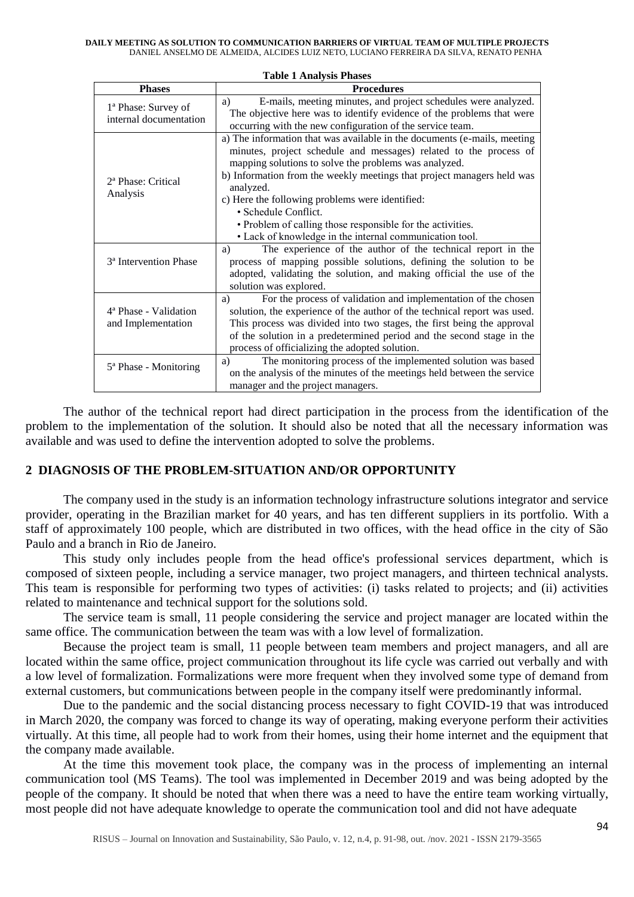#### **DAILY MEETING AS SOLUTION TO COMMUNICATION BARRIERS OF VIRTUAL TEAM OF MULTIPLE PROJECTS** DANIEL ANSELMO DE ALMEIDA, ALCIDES LUIZ NETO, LUCIANO FERREIRA DA SILVA, RENATO PENHA

| <b>Phases</b>                                           | <b>Procedures</b>                                                                                                                                                                                                                                                                                                                                                                                                                                                                                 |
|---------------------------------------------------------|---------------------------------------------------------------------------------------------------------------------------------------------------------------------------------------------------------------------------------------------------------------------------------------------------------------------------------------------------------------------------------------------------------------------------------------------------------------------------------------------------|
| 1ª Phase: Survey of<br>internal documentation           | E-mails, meeting minutes, and project schedules were analyzed.<br>a)<br>The objective here was to identify evidence of the problems that were<br>occurring with the new configuration of the service team.                                                                                                                                                                                                                                                                                        |
| 2 <sup>ª</sup> Phase: Critical<br>Analysis              | a) The information that was available in the documents (e-mails, meeting<br>minutes, project schedule and messages) related to the process of<br>mapping solutions to solve the problems was analyzed.<br>b) Information from the weekly meetings that project managers held was<br>analyzed.<br>c) Here the following problems were identified:<br>· Schedule Conflict.<br>• Problem of calling those responsible for the activities.<br>• Lack of knowledge in the internal communication tool. |
| 3 <sup>ª</sup> Intervention Phase                       | The experience of the author of the technical report in the<br>a)<br>process of mapping possible solutions, defining the solution to be<br>adopted, validating the solution, and making official the use of the<br>solution was explored.                                                                                                                                                                                                                                                         |
| 4 <sup>ª</sup> Phase - Validation<br>and Implementation | For the process of validation and implementation of the chosen<br>a)<br>solution, the experience of the author of the technical report was used.<br>This process was divided into two stages, the first being the approval<br>of the solution in a predetermined period and the second stage in the<br>process of officializing the adopted solution.                                                                                                                                             |
| 5 <sup>ª</sup> Phase - Monitoring                       | The monitoring process of the implemented solution was based<br>a)<br>on the analysis of the minutes of the meetings held between the service<br>manager and the project managers.                                                                                                                                                                                                                                                                                                                |

**Table 1 Analysis Phases**

The author of the technical report had direct participation in the process from the identification of the problem to the implementation of the solution. It should also be noted that all the necessary information was available and was used to define the intervention adopted to solve the problems.

### **2 DIAGNOSIS OF THE PROBLEM-SITUATION AND/OR OPPORTUNITY**

The company used in the study is an information technology infrastructure solutions integrator and service provider, operating in the Brazilian market for 40 years, and has ten different suppliers in its portfolio. With a staff of approximately 100 people, which are distributed in two offices, with the head office in the city of São Paulo and a branch in Rio de Janeiro.

This study only includes people from the head office's professional services department, which is composed of sixteen people, including a service manager, two project managers, and thirteen technical analysts. This team is responsible for performing two types of activities: (i) tasks related to projects; and (ii) activities related to maintenance and technical support for the solutions sold.

The service team is small, 11 people considering the service and project manager are located within the same office. The communication between the team was with a low level of formalization.

Because the project team is small, 11 people between team members and project managers, and all are located within the same office, project communication throughout its life cycle was carried out verbally and with a low level of formalization. Formalizations were more frequent when they involved some type of demand from external customers, but communications between people in the company itself were predominantly informal.

Due to the pandemic and the social distancing process necessary to fight COVID-19 that was introduced in March 2020, the company was forced to change its way of operating, making everyone perform their activities virtually. At this time, all people had to work from their homes, using their home internet and the equipment that the company made available.

At the time this movement took place, the company was in the process of implementing an internal communication tool (MS Teams). The tool was implemented in December 2019 and was being adopted by the people of the company. It should be noted that when there was a need to have the entire team working virtually, most people did not have adequate knowledge to operate the communication tool and did not have adequate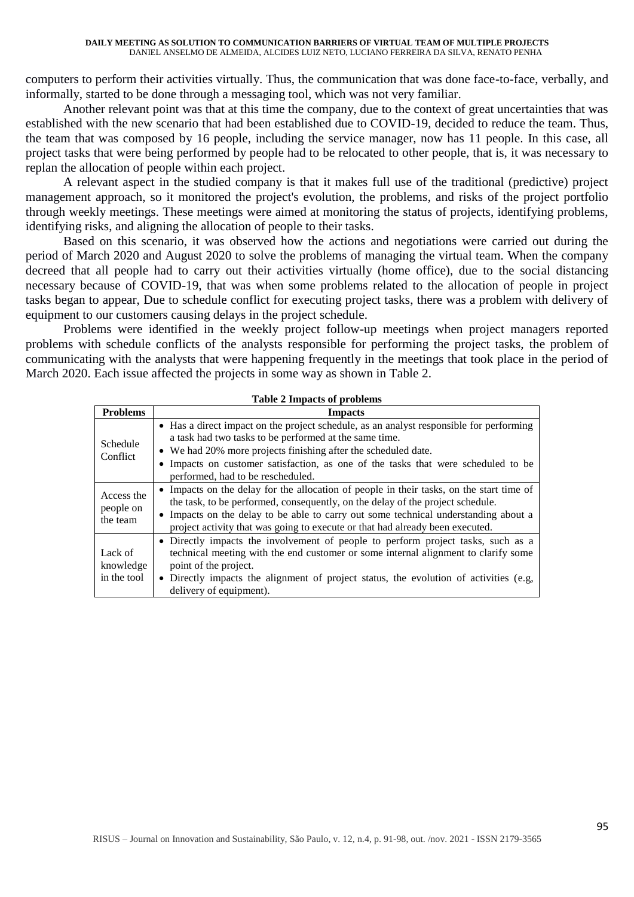computers to perform their activities virtually. Thus, the communication that was done face-to-face, verbally, and informally, started to be done through a messaging tool, which was not very familiar.

Another relevant point was that at this time the company, due to the context of great uncertainties that was established with the new scenario that had been established due to COVID-19, decided to reduce the team. Thus, the team that was composed by 16 people, including the service manager, now has 11 people. In this case, all project tasks that were being performed by people had to be relocated to other people, that is, it was necessary to replan the allocation of people within each project.

A relevant aspect in the studied company is that it makes full use of the traditional (predictive) project management approach, so it monitored the project's evolution, the problems, and risks of the project portfolio through weekly meetings. These meetings were aimed at monitoring the status of projects, identifying problems, identifying risks, and aligning the allocation of people to their tasks.

Based on this scenario, it was observed how the actions and negotiations were carried out during the period of March 2020 and August 2020 to solve the problems of managing the virtual team. When the company decreed that all people had to carry out their activities virtually (home office), due to the social distancing necessary because of COVID-19, that was when some problems related to the allocation of people in project tasks began to appear, Due to schedule conflict for executing project tasks, there was a problem with delivery of equipment to our customers causing delays in the project schedule.

Problems were identified in the weekly project follow-up meetings when project managers reported problems with schedule conflicts of the analysts responsible for performing the project tasks, the problem of communicating with the analysts that were happening frequently in the meetings that took place in the period of March 2020. Each issue affected the projects in some way as shown in Table 2.

| $1$ avie $2$ impacts of proplems    |                                                                                                                                                                                                                                                                                                                                                    |  |
|-------------------------------------|----------------------------------------------------------------------------------------------------------------------------------------------------------------------------------------------------------------------------------------------------------------------------------------------------------------------------------------------------|--|
| <b>Problems</b>                     | <b>Impacts</b>                                                                                                                                                                                                                                                                                                                                     |  |
| Schedule<br>Conflict                | • Has a direct impact on the project schedule, as an analyst responsible for performing<br>a task had two tasks to be performed at the same time.<br>• We had 20% more projects finishing after the scheduled date.<br>• Impacts on customer satisfaction, as one of the tasks that were scheduled to be<br>performed, had to be rescheduled.      |  |
| Access the<br>people on<br>the team | • Impacts on the delay for the allocation of people in their tasks, on the start time of<br>the task, to be performed, consequently, on the delay of the project schedule.<br>• Impacts on the delay to be able to carry out some technical understanding about a<br>project activity that was going to execute or that had already been executed. |  |
| Lack of<br>knowledge<br>in the tool | • Directly impacts the involvement of people to perform project tasks, such as a<br>technical meeting with the end customer or some internal alignment to clarify some<br>point of the project.<br>• Directly impacts the alignment of project status, the evolution of activities (e.g.<br>delivery of equipment).                                |  |

#### **Table 2 Impacts of problems**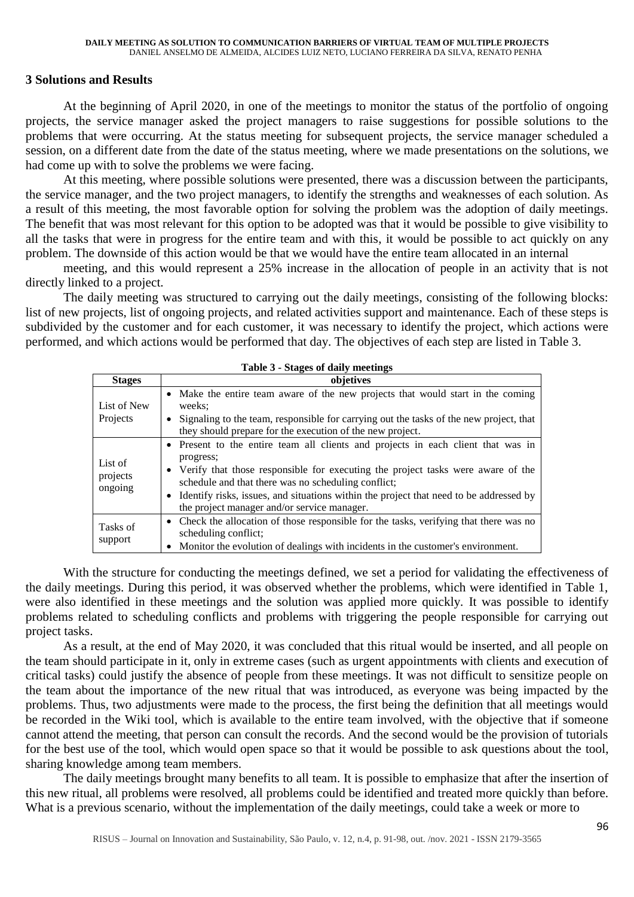#### **3 Solutions and Results**

At the beginning of April 2020, in one of the meetings to monitor the status of the portfolio of ongoing projects, the service manager asked the project managers to raise suggestions for possible solutions to the problems that were occurring. At the status meeting for subsequent projects, the service manager scheduled a session, on a different date from the date of the status meeting, where we made presentations on the solutions, we had come up with to solve the problems we were facing.

At this meeting, where possible solutions were presented, there was a discussion between the participants, the service manager, and the two project managers, to identify the strengths and weaknesses of each solution. As a result of this meeting, the most favorable option for solving the problem was the adoption of daily meetings. The benefit that was most relevant for this option to be adopted was that it would be possible to give visibility to all the tasks that were in progress for the entire team and with this, it would be possible to act quickly on any problem. The downside of this action would be that we would have the entire team allocated in an internal

meeting, and this would represent a 25% increase in the allocation of people in an activity that is not directly linked to a project.

The daily meeting was structured to carrying out the daily meetings, consisting of the following blocks: list of new projects, list of ongoing projects, and related activities support and maintenance. Each of these steps is subdivided by the customer and for each customer, it was necessary to identify the project, which actions were performed, and which actions would be performed that day. The objectives of each step are listed in Table 3.

| <b>Table 3 - Stages of daily meetings</b> |                                                                                                                                                                                                                                                                                                                                                                                  |  |
|-------------------------------------------|----------------------------------------------------------------------------------------------------------------------------------------------------------------------------------------------------------------------------------------------------------------------------------------------------------------------------------------------------------------------------------|--|
| <b>Stages</b>                             | objetives                                                                                                                                                                                                                                                                                                                                                                        |  |
| List of New<br>Projects                   | • Make the entire team aware of the new projects that would start in the coming<br>weeks:<br>Signaling to the team, responsible for carrying out the tasks of the new project, that                                                                                                                                                                                              |  |
|                                           | they should prepare for the execution of the new project.                                                                                                                                                                                                                                                                                                                        |  |
| List of<br>projects<br>ongoing            | • Present to the entire team all clients and projects in each client that was in<br>progress;<br>Verify that those responsible for executing the project tasks were aware of the<br>schedule and that there was no scheduling conflict;<br>Identify risks, issues, and situations within the project that need to be addressed by<br>the project manager and/or service manager. |  |
| Tasks of<br>support                       | Check the allocation of those responsible for the tasks, verifying that there was no<br>$\bullet$<br>scheduling conflict;<br>Monitor the evolution of dealings with incidents in the customer's environment.                                                                                                                                                                     |  |

With the structure for conducting the meetings defined, we set a period for validating the effectiveness of the daily meetings. During this period, it was observed whether the problems, which were identified in Table 1, were also identified in these meetings and the solution was applied more quickly. It was possible to identify problems related to scheduling conflicts and problems with triggering the people responsible for carrying out project tasks.

As a result, at the end of May 2020, it was concluded that this ritual would be inserted, and all people on the team should participate in it, only in extreme cases (such as urgent appointments with clients and execution of critical tasks) could justify the absence of people from these meetings. It was not difficult to sensitize people on the team about the importance of the new ritual that was introduced, as everyone was being impacted by the problems. Thus, two adjustments were made to the process, the first being the definition that all meetings would be recorded in the Wiki tool, which is available to the entire team involved, with the objective that if someone cannot attend the meeting, that person can consult the records. And the second would be the provision of tutorials for the best use of the tool, which would open space so that it would be possible to ask questions about the tool, sharing knowledge among team members.

The daily meetings brought many benefits to all team. It is possible to emphasize that after the insertion of this new ritual, all problems were resolved, all problems could be identified and treated more quickly than before. What is a previous scenario, without the implementation of the daily meetings, could take a week or more to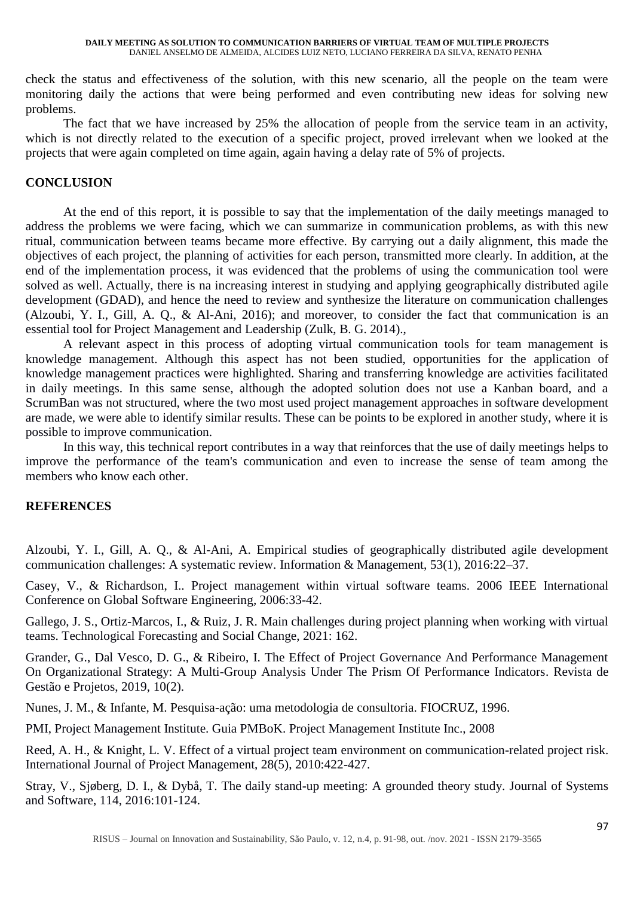#### **DAILY MEETING AS SOLUTION TO COMMUNICATION BARRIERS OF VIRTUAL TEAM OF MULTIPLE PROJECTS** DANIEL ANSELMO DE ALMEIDA, ALCIDES LUIZ NETO, LUCIANO FERREIRA DA SILVA, RENATO PENHA

check the status and effectiveness of the solution, with this new scenario, all the people on the team were monitoring daily the actions that were being performed and even contributing new ideas for solving new problems.

The fact that we have increased by 25% the allocation of people from the service team in an activity, which is not directly related to the execution of a specific project, proved irrelevant when we looked at the projects that were again completed on time again, again having a delay rate of 5% of projects.

### **CONCLUSION**

At the end of this report, it is possible to say that the implementation of the daily meetings managed to address the problems we were facing, which we can summarize in communication problems, as with this new ritual, communication between teams became more effective. By carrying out a daily alignment, this made the objectives of each project, the planning of activities for each person, transmitted more clearly. In addition, at the end of the implementation process, it was evidenced that the problems of using the communication tool were solved as well. Actually, there is na increasing interest in studying and applying geographically distributed agile development (GDAD), and hence the need to review and synthesize the literature on communication challenges (Alzoubi, Y. I., Gill, A. Q., & Al-Ani, 2016); and moreover, to consider the fact that communication is an essential tool for Project Management and Leadership (Zulk, B. G. 2014).,

A relevant aspect in this process of adopting virtual communication tools for team management is knowledge management. Although this aspect has not been studied, opportunities for the application of knowledge management practices were highlighted. Sharing and transferring knowledge are activities facilitated in daily meetings. In this same sense, although the adopted solution does not use a Kanban board, and a ScrumBan was not structured, where the two most used project management approaches in software development are made, we were able to identify similar results. These can be points to be explored in another study, where it is possible to improve communication.

In this way, this technical report contributes in a way that reinforces that the use of daily meetings helps to improve the performance of the team's communication and even to increase the sense of team among the members who know each other.

### **REFERENCES**

Alzoubi, Y. I., Gill, A. Q., & Al-Ani, A. Empirical studies of geographically distributed agile development communication challenges: A systematic review. Information & Management, 53(1), 2016:22–37.

Casey, V., & Richardson, I.. Project management within virtual software teams. 2006 IEEE International Conference on Global Software Engineering*,* 2006:33-42.

Gallego, J. S., Ortiz-Marcos, I., & Ruiz, J. R. Main challenges during project planning when working with virtual teams. Technological Forecasting and Social Change, 2021: 162.

Grander, G., Dal Vesco, D. G., & Ribeiro, I. The Effect of Project Governance And Performance Management On Organizational Strategy: A Multi-Group Analysis Under The Prism Of Performance Indicators. Revista de Gestão e Projetos, 2019, 10(2).

Nunes, J. M., & Infante, M. Pesquisa-ação: uma metodologia de consultoria. FIOCRUZ, 1996.

PMI, Project Management Institute. Guia PMBoK. Project Management Institute Inc., 2008

Reed, A. H., & Knight, L. V. Effect of a virtual project team environment on communication-related project risk. International Journal of Project Management, 28(5), 2010:422-427.

Stray, V., Sjøberg, D. I., & Dybå, T. The daily stand-up meeting: A grounded theory study. Journal of Systems and Software, 114, 2016:101-124.